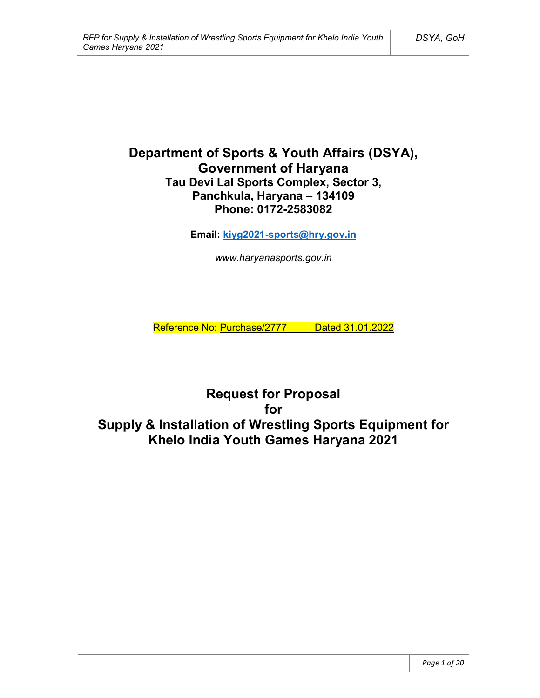# **Department of Sports & Youth Affairs (DSYA), Government of Haryana Tau Devi Lal Sports Complex, Sector 3, Panchkula, Haryana – 134109 Phone: 0172-2583082**

**Email: kiyg2021-sports@hry.gov.in**

*www.haryanasports.gov.in*

Reference No: Purchase/2777 Dated 31.01.2022

**Request for Proposal for Supply & Installation of Wrestling Sports Equipment for Khelo India Youth Games Haryana 2021**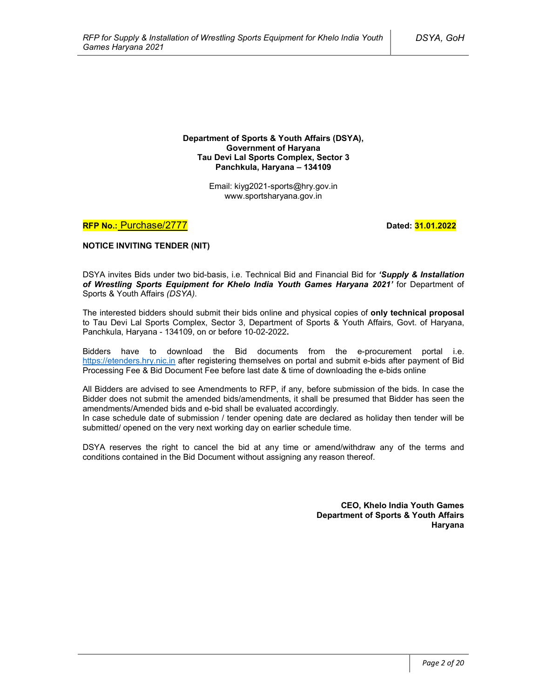**Department of Sports & Youth Affairs (DSYA), Government of Haryana Tau Devi Lal Sports Complex, Sector 3 Panchkula, Haryana – 134109**

> Email: kiyg2021-sports@hry.gov.in www.sportsharyana.gov.in

**RFP No.: Purchase/2777 Dated: 31.01.2022** 

**NOTICE INVITING TENDER (NIT)**

DSYA invites Bids under two bid-basis, i.e. Technical Bid and Financial Bid for *'Supply & Installation of Wrestling Sports Equipment for Khelo India Youth Games Haryana 2021'* for Department of Sports & Youth Affairs *(DSYA)*.

The interested bidders should submit their bids online and physical copies of **only technical proposal** to Tau Devi Lal Sports Complex, Sector 3, Department of Sports & Youth Affairs, Govt. of Haryana, Panchkula, Haryana - 134109, on or before 10-02-2022**.**

Bidders have to download the Bid documents from the e-procurement portal i.e. https://etenders.hry.nic.in after registering themselves on portal and submit e-bids after payment of Bid Processing Fee & Bid Document Fee before last date & time of downloading the e-bids online

All Bidders are advised to see Amendments to RFP, if any, before submission of the bids. In case the Bidder does not submit the amended bids/amendments, it shall be presumed that Bidder has seen the amendments/Amended bids and e-bid shall be evaluated accordingly.

In case schedule date of submission / tender opening date are declared as holiday then tender will be submitted/ opened on the very next working day on earlier schedule time.

DSYA reserves the right to cancel the bid at any time or amend/withdraw any of the terms and conditions contained in the Bid Document without assigning any reason thereof.

> **CEO, Khelo India Youth Games Department of Sports & Youth Affairs Haryana**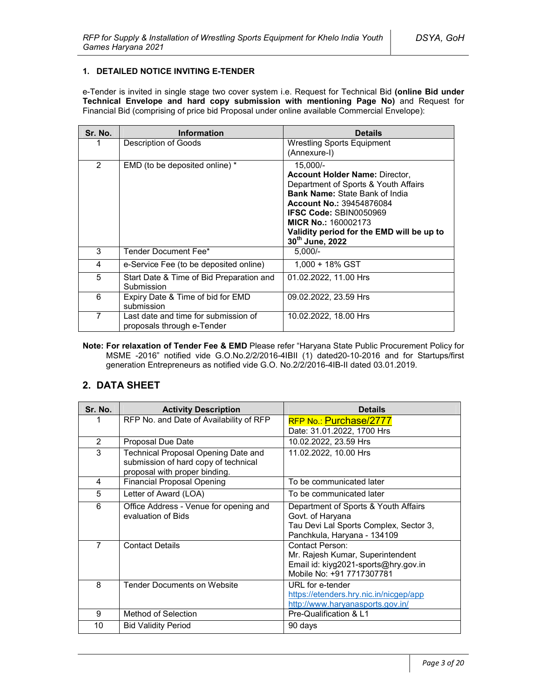### **1. DETAILED NOTICE INVITING E-TENDER**

e-Tender is invited in single stage two cover system i.e. Request for Technical Bid **(online Bid under Technical Envelope and hard copy submission with mentioning Page No)** and Request for Financial Bid (comprising of price bid Proposal under online available Commercial Envelope):

| Sr. No. | <b>Information</b>                                                 | <b>Details</b>                                                                                                                                                                                                                                                                                       |
|---------|--------------------------------------------------------------------|------------------------------------------------------------------------------------------------------------------------------------------------------------------------------------------------------------------------------------------------------------------------------------------------------|
|         | Description of Goods                                               | <b>Wrestling Sports Equipment</b><br>(Annexure-I)                                                                                                                                                                                                                                                    |
| 2       | EMD (to be deposited online) *                                     | 15,000/-<br><b>Account Holder Name: Director,</b><br>Department of Sports & Youth Affairs<br><b>Bank Name: State Bank of India</b><br><b>Account No.: 39454876084</b><br><b>IFSC Code: SBIN0050969</b><br><b>MICR No.: 160002173</b><br>Validity period for the EMD will be up to<br>30th June, 2022 |
| 3       | Tender Document Fee*                                               | $5.000/-$                                                                                                                                                                                                                                                                                            |
| 4       | e-Service Fee (to be deposited online)                             | 1.000 + 18% GST                                                                                                                                                                                                                                                                                      |
| 5       | Start Date & Time of Bid Preparation and<br>Submission             | 01.02.2022, 11.00 Hrs                                                                                                                                                                                                                                                                                |
| 6       | Expiry Date & Time of bid for EMD<br>submission                    | 09.02.2022, 23.59 Hrs                                                                                                                                                                                                                                                                                |
| 7       | Last date and time for submission of<br>proposals through e-Tender | 10.02.2022, 18.00 Hrs                                                                                                                                                                                                                                                                                |

**Note: For relaxation of Tender Fee & EMD** Please refer "Haryana State Public Procurement Policy for MSME -2016" notified vide G.O.No.2/2/2016-4IBII (1) dated20-10-2016 and for Startups/first generation Entrepreneurs as notified vide G.O. No.2/2/2016-4IB-II dated 03.01.2019.

# **2. DATA SHEET**

| Sr. No.        | <b>Activity Description</b>                                                                                  | <b>Details</b>                                                                                                                    |
|----------------|--------------------------------------------------------------------------------------------------------------|-----------------------------------------------------------------------------------------------------------------------------------|
|                | RFP No. and Date of Availability of RFP                                                                      | RFP No.: Purchase/2777<br>Date: 31.01.2022, 1700 Hrs                                                                              |
| $\overline{2}$ | <b>Proposal Due Date</b>                                                                                     | 10.02.2022, 23.59 Hrs                                                                                                             |
| 3              | Technical Proposal Opening Date and<br>submission of hard copy of technical<br>proposal with proper binding. | 11.02.2022, 10.00 Hrs                                                                                                             |
| 4              | <b>Financial Proposal Opening</b>                                                                            | To be communicated later                                                                                                          |
| 5              | Letter of Award (LOA)                                                                                        | To be communicated later                                                                                                          |
| 6              | Office Address - Venue for opening and<br>evaluation of Bids                                                 | Department of Sports & Youth Affairs<br>Govt. of Haryana<br>Tau Devi Lal Sports Complex, Sector 3,<br>Panchkula, Haryana - 134109 |
| $\overline{7}$ | <b>Contact Details</b>                                                                                       | <b>Contact Person:</b><br>Mr. Rajesh Kumar, Superintendent<br>Email id: kiyg2021-sports@hry.gov.in<br>Mobile No: +91 7717307781   |
| 8              | <b>Tender Documents on Website</b>                                                                           | URL for e-tender<br>https://etenders.hry.nic.in/nicgep/app<br>http://www.haryanasports.gov.in/                                    |
| 9              | Method of Selection                                                                                          | Pre-Qualification & L1                                                                                                            |
| 10             | <b>Bid Validity Period</b>                                                                                   | 90 days                                                                                                                           |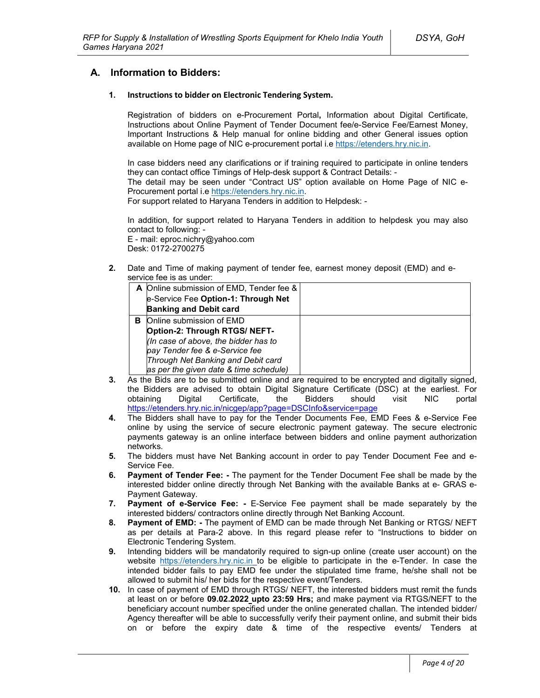# **A. Information to Bidders:**

### **1. Instructions to bidder on Electronic Tendering System.**

Registration of bidders on e-Procurement Portal**,** Information about Digital Certificate, Instructions about Online Payment of Tender Document fee/e-Service Fee/Earnest Money, Important Instructions & Help manual for online bidding and other General issues option available on Home page of NIC e-procurement portal i.e https://etenders.hry.nic.in.

In case bidders need any clarifications or if training required to participate in online tenders they can contact office Timings of Help-desk support & Contract Details: -

The detail may be seen under "Contract US" option available on Home Page of NIC e-Procurement portal i.e https://etenders.hry.nic.in.

For support related to Haryana Tenders in addition to Helpdesk: -

In addition, for support related to Haryana Tenders in addition to helpdesk you may also contact to following: -

E - mail: eproc.nichry@yahoo.com Desk: 0172-2700275

**2.** Date and Time of making payment of tender fee, earnest money deposit (EMD) and eservice fee is as under:

|   | A Online submission of EMD, Tender fee & |  |
|---|------------------------------------------|--|
|   | e-Service Fee Option-1: Through Net      |  |
|   | <b>Banking and Debit card</b>            |  |
| в | Online submission of EMD                 |  |
|   | Option-2: Through RTGS/ NEFT-            |  |
|   | (In case of above, the bidder has to     |  |
|   | pay Tender fee & e-Service fee           |  |
|   | Through Net Banking and Debit card       |  |
|   | as per the given date & time schedule)   |  |

- **3.** As the Bids are to be submitted online and are required to be encrypted and digitally signed, the Bidders are advised to obtain Digital Signature Certificate (DSC) at the earliest. For obtaining Digital Certificate, the Bidders should visit NIC portal https://etenders.hry.nic.in/nicgep/app?page=DSCInfo&service=page
- **4.** The Bidders shall have to pay for the Tender Documents Fee, EMD Fees & e-Service Fee online by using the service of secure electronic payment gateway. The secure electronic payments gateway is an online interface between bidders and online payment authorization networks.
- **5.** The bidders must have Net Banking account in order to pay Tender Document Fee and e-Service Fee.
- **6. Payment of Tender Fee: -** The payment for the Tender Document Fee shall be made by the interested bidder online directly through Net Banking with the available Banks at e- GRAS e-Payment Gateway.
- **7. Payment of e-Service Fee: -** E-Service Fee payment shall be made separately by the interested bidders/ contractors online directly through Net Banking Account.
- **8. Payment of EMD: -** The payment of EMD can be made through Net Banking or RTGS/ NEFT as per details at Para-2 above. In this regard please refer to "Instructions to bidder on Electronic Tendering System.
- **9.** Intending bidders will be mandatorily required to sign-up online (create user account) on the website https://etenders.hry.nic.in to be eligible to participate in the e-Tender. In case the intended bidder fails to pay EMD fee under the stipulated time frame, he/she shall not be allowed to submit his/ her bids for the respective event/Tenders.
- **10.** In case of payment of EMD through RTGS/ NEFT, the interested bidders must remit the funds at least on or before **09.02.2022 upto 23:59 Hrs;** and make payment via RTGS/NEFT to the beneficiary account number specified under the online generated challan. The intended bidder/ Agency thereafter will be able to successfully verify their payment online, and submit their bids on or before the expiry date & time of the respective events/ Tenders at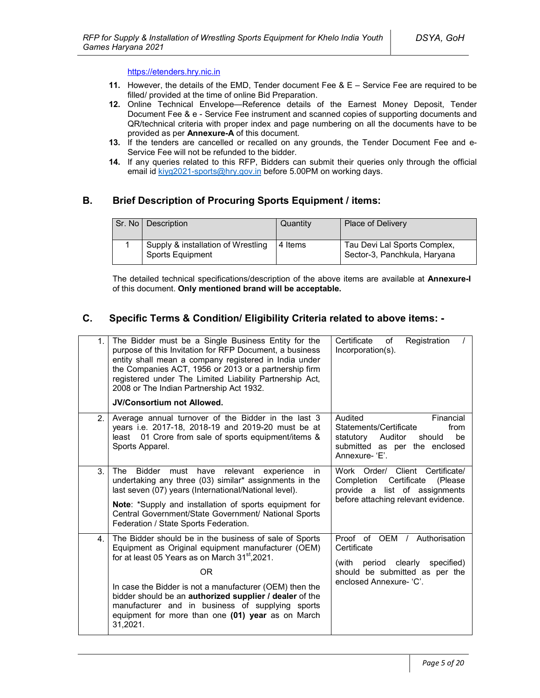### https://etenders.hry.nic.in

- **11.** However, the details of the EMD, Tender document Fee & E Service Fee are required to be filled/ provided at the time of online Bid Preparation.
- **12.** Online Technical Envelope—Reference details of the Earnest Money Deposit, Tender Document Fee & e - Service Fee instrument and scanned copies of supporting documents and QR/technical criteria with proper index and page numbering on all the documents have to be provided as per **Annexure-A** of this document.
- **13.** If the tenders are cancelled or recalled on any grounds, the Tender Document Fee and e-Service Fee will not be refunded to the bidder.
- **14.** If any queries related to this RFP, Bidders can submit their queries only through the official email id kiyg2021-sports@hry.gov.in before 5.00PM on working days.

# **B. Brief Description of Procuring Sports Equipment / items:**

| Sr. No   Description                                          | Quantity | <b>Place of Delivery</b>                                     |
|---------------------------------------------------------------|----------|--------------------------------------------------------------|
| Supply & installation of Wrestling<br><b>Sports Equipment</b> | 4 Items  | Tau Devi Lal Sports Complex,<br>Sector-3, Panchkula, Haryana |

The detailed technical specifications/description of the above items are available at **Annexure-I** of this document. **Only mentioned brand will be acceptable.** 

# **C. Specific Terms & Condition/ Eligibility Criteria related to above items: -**

| 1.             | The Bidder must be a Single Business Entity for the<br>purpose of this Invitation for RFP Document, a business<br>entity shall mean a company registered in India under<br>the Companies ACT, 1956 or 2013 or a partnership firm<br>registered under The Limited Liability Partnership Act,<br>2008 or The Indian Partnership Act 1932.                                                                                     | Registration<br>Certificate<br>of<br>Incorporation(s).                                                                                            |
|----------------|-----------------------------------------------------------------------------------------------------------------------------------------------------------------------------------------------------------------------------------------------------------------------------------------------------------------------------------------------------------------------------------------------------------------------------|---------------------------------------------------------------------------------------------------------------------------------------------------|
|                | JV/Consortium not Allowed.                                                                                                                                                                                                                                                                                                                                                                                                  |                                                                                                                                                   |
| 2 <sub>1</sub> | Average annual turnover of the Bidder in the last 3<br>years i.e. 2017-18, 2018-19 and 2019-20 must be at<br>least 01 Crore from sale of sports equipment/items &<br>Sports Apparel.                                                                                                                                                                                                                                        | Audited<br>Financial<br>Statements/Certificate<br>from<br>Auditor<br>should<br>be<br>statutory<br>submitted as per the enclosed<br>Annexure- 'F'. |
| 3.             | Bidder<br>relevant<br>The<br>must<br>have<br>experience<br>in.<br>undertaking any three (03) similar* assignments in the<br>last seven (07) years (International/National level).<br>Note: *Supply and installation of sports equipment for<br>Central Government/State Government/ National Sports<br>Federation / State Sports Federation.                                                                                | Work Order/ Client Certificate/<br>Certificate<br>Completion<br>(Please)<br>provide a list of assignments<br>before attaching relevant evidence.  |
| 4.             | The Bidder should be in the business of sale of Sports<br>Equipment as Original equipment manufacturer (OEM)<br>for at least 05 Years as on March 31 <sup>st</sup> , 2021.<br>0R<br>In case the Bidder is not a manufacturer (OEM) then the<br>bidder should be an authorized supplier / dealer of the<br>manufacturer and in business of supplying sports<br>equipment for more than one (01) year as on March<br>31,2021. | Proof of OEM / Authorisation<br>Certificate<br>period clearly<br>specified)<br>(with<br>should be submitted as per the<br>enclosed Annexure- 'C'. |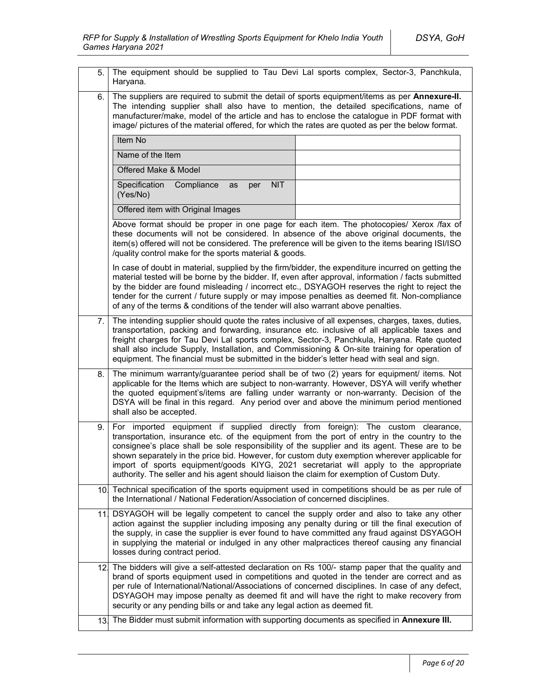| 5.  | The equipment should be supplied to Tau Devi Lal sports complex, Sector-3, Panchkula,<br>Haryana.                                                                                                                                                                                                                                                                                                                                                                                                                                                                         |  |  |
|-----|---------------------------------------------------------------------------------------------------------------------------------------------------------------------------------------------------------------------------------------------------------------------------------------------------------------------------------------------------------------------------------------------------------------------------------------------------------------------------------------------------------------------------------------------------------------------------|--|--|
| 6.  | The suppliers are required to submit the detail of sports equipment/items as per Annexure-II.<br>The intending supplier shall also have to mention, the detailed specifications, name of<br>manufacturer/make, model of the article and has to enclose the catalogue in PDF format with<br>image/ pictures of the material offered, for which the rates are quoted as per the below format.                                                                                                                                                                               |  |  |
|     | Item No                                                                                                                                                                                                                                                                                                                                                                                                                                                                                                                                                                   |  |  |
|     | Name of the Item                                                                                                                                                                                                                                                                                                                                                                                                                                                                                                                                                          |  |  |
|     | Offered Make & Model                                                                                                                                                                                                                                                                                                                                                                                                                                                                                                                                                      |  |  |
|     | <b>NIT</b><br>Specification<br>Compliance<br>as<br>per<br>(Yes/No)                                                                                                                                                                                                                                                                                                                                                                                                                                                                                                        |  |  |
|     | Offered item with Original Images                                                                                                                                                                                                                                                                                                                                                                                                                                                                                                                                         |  |  |
|     | Above format should be proper in one page for each item. The photocopies/ Xerox /fax of<br>these documents will not be considered. In absence of the above original documents, the<br>item(s) offered will not be considered. The preference will be given to the items bearing ISI/ISO<br>/quality control make for the sports material & goods.                                                                                                                                                                                                                         |  |  |
|     | In case of doubt in material, supplied by the firm/bidder, the expenditure incurred on getting the<br>material tested will be borne by the bidder. If, even after approval, information / facts submitted<br>by the bidder are found misleading / incorrect etc., DSYAGOH reserves the right to reject the<br>tender for the current / future supply or may impose penalties as deemed fit. Non-compliance<br>of any of the terms & conditions of the tender will also warrant above penalties.                                                                           |  |  |
| 7.  | The intending supplier should quote the rates inclusive of all expenses, charges, taxes, duties,<br>transportation, packing and forwarding, insurance etc. inclusive of all applicable taxes and<br>freight charges for Tau Devi Lal sports complex, Sector-3, Panchkula, Haryana. Rate quoted<br>shall also include Supply, Installation, and Commissioning & On-site training for operation of<br>equipment. The financial must be submitted in the bidder's letter head with seal and sign.                                                                            |  |  |
| 8.  | The minimum warranty/guarantee period shall be of two (2) years for equipment/ items. Not<br>applicable for the Items which are subject to non-warranty. However, DSYA will verify whether<br>the quoted equipment's/items are falling under warranty or non-warranty. Decision of the<br>DSYA will be final in this regard. Any period over and above the minimum period mentioned<br>shall also be accepted.                                                                                                                                                            |  |  |
| 9.  | For imported equipment if supplied directly from foreign): The custom clearance,<br>transportation, insurance etc. of the equipment from the port of entry in the country to the<br>consignee's place shall be sole responsibility of the supplier and its agent. These are to be<br>shown separately in the price bid. However, for custom duty exemption wherever applicable for<br>import of sports equipment/goods KIYG, 2021 secretariat will apply to the appropriate<br>authority. The seller and his agent should liaison the claim for exemption of Custom Duty. |  |  |
|     | 10. Technical specification of the sports equipment used in competitions should be as per rule of<br>the International / National Federation/Association of concerned disciplines.                                                                                                                                                                                                                                                                                                                                                                                        |  |  |
| 11. | DSYAGOH will be legally competent to cancel the supply order and also to take any other<br>action against the supplier including imposing any penalty during or till the final execution of<br>the supply, in case the supplier is ever found to have committed any fraud against DSYAGOH<br>in supplying the material or indulged in any other malpractices thereof causing any financial<br>losses during contract period.                                                                                                                                              |  |  |
|     | 12. The bidders will give a self-attested declaration on Rs 100/- stamp paper that the quality and<br>brand of sports equipment used in competitions and quoted in the tender are correct and as<br>per rule of International/National/Associations of concerned disciplines. In case of any defect,<br>DSYAGOH may impose penalty as deemed fit and will have the right to make recovery from<br>security or any pending bills or and take any legal action as deemed fit.                                                                                               |  |  |
| 13. | The Bidder must submit information with supporting documents as specified in Annexure III.                                                                                                                                                                                                                                                                                                                                                                                                                                                                                |  |  |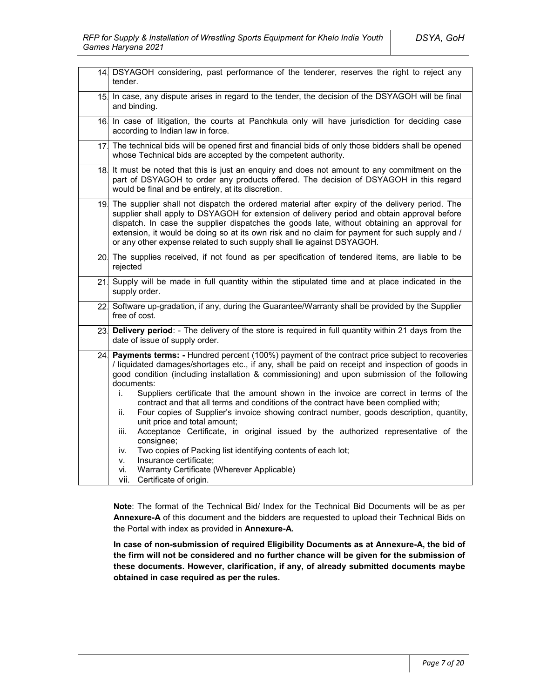|     | 14. DSYAGOH considering, past performance of the tenderer, reserves the right to reject any<br>tender.                                                                                                                                                                                                                                                                                                                                                                                                                                                                                                                                                                                                                                                                                                                                                                                                                                              |  |
|-----|-----------------------------------------------------------------------------------------------------------------------------------------------------------------------------------------------------------------------------------------------------------------------------------------------------------------------------------------------------------------------------------------------------------------------------------------------------------------------------------------------------------------------------------------------------------------------------------------------------------------------------------------------------------------------------------------------------------------------------------------------------------------------------------------------------------------------------------------------------------------------------------------------------------------------------------------------------|--|
|     | 15. In case, any dispute arises in regard to the tender, the decision of the DSYAGOH will be final<br>and binding.                                                                                                                                                                                                                                                                                                                                                                                                                                                                                                                                                                                                                                                                                                                                                                                                                                  |  |
|     | 16. In case of litigation, the courts at Panchkula only will have jurisdiction for deciding case<br>according to Indian law in force.                                                                                                                                                                                                                                                                                                                                                                                                                                                                                                                                                                                                                                                                                                                                                                                                               |  |
|     | 17 The technical bids will be opened first and financial bids of only those bidders shall be opened<br>whose Technical bids are accepted by the competent authority.                                                                                                                                                                                                                                                                                                                                                                                                                                                                                                                                                                                                                                                                                                                                                                                |  |
| 18. | It must be noted that this is just an enquiry and does not amount to any commitment on the<br>part of DSYAGOH to order any products offered. The decision of DSYAGOH in this regard<br>would be final and be entirely, at its discretion.                                                                                                                                                                                                                                                                                                                                                                                                                                                                                                                                                                                                                                                                                                           |  |
|     | 19. The supplier shall not dispatch the ordered material after expiry of the delivery period. The<br>supplier shall apply to DSYAGOH for extension of delivery period and obtain approval before<br>dispatch. In case the supplier dispatches the goods late, without obtaining an approval for<br>extension, it would be doing so at its own risk and no claim for payment for such supply and /<br>or any other expense related to such supply shall lie against DSYAGOH.                                                                                                                                                                                                                                                                                                                                                                                                                                                                         |  |
|     | 20. The supplies received, if not found as per specification of tendered items, are liable to be<br>rejected                                                                                                                                                                                                                                                                                                                                                                                                                                                                                                                                                                                                                                                                                                                                                                                                                                        |  |
| 21  | Supply will be made in full quantity within the stipulated time and at place indicated in the<br>supply order.                                                                                                                                                                                                                                                                                                                                                                                                                                                                                                                                                                                                                                                                                                                                                                                                                                      |  |
| 22. | Software up-gradation, if any, during the Guarantee/Warranty shall be provided by the Supplier<br>free of cost.                                                                                                                                                                                                                                                                                                                                                                                                                                                                                                                                                                                                                                                                                                                                                                                                                                     |  |
| 23. | Delivery period: - The delivery of the store is required in full quantity within 21 days from the<br>date of issue of supply order.                                                                                                                                                                                                                                                                                                                                                                                                                                                                                                                                                                                                                                                                                                                                                                                                                 |  |
| 24. | Payments terms: - Hundred percent (100%) payment of the contract price subject to recoveries<br>/ liquidated damages/shortages etc., if any, shall be paid on receipt and inspection of goods in<br>good condition (including installation & commissioning) and upon submission of the following<br>documents:<br>Suppliers certificate that the amount shown in the invoice are correct in terms of the<br>i.<br>contract and that all terms and conditions of the contract have been complied with;<br>Four copies of Supplier's invoice showing contract number, goods description, quantity,<br>ii.<br>unit price and total amount;<br>Acceptance Certificate, in original issued by the authorized representative of the<br>iii.<br>consignee;<br>Two copies of Packing list identifying contents of each lot;<br>iv.<br>Insurance certificate;<br>v.<br>Warranty Certificate (Wherever Applicable)<br>vi.<br>vii. -<br>Certificate of origin. |  |

**Note**: The format of the Technical Bid/ Index for the Technical Bid Documents will be as per **Annexure-A** of this document and the bidders are requested to upload their Technical Bids on the Portal with index as provided in **Annexure-A.**

**In case of non-submission of required Eligibility Documents as at Annexure-A, the bid of the firm will not be considered and no further chance will be given for the submission of these documents. However, clarification, if any, of already submitted documents maybe obtained in case required as per the rules.**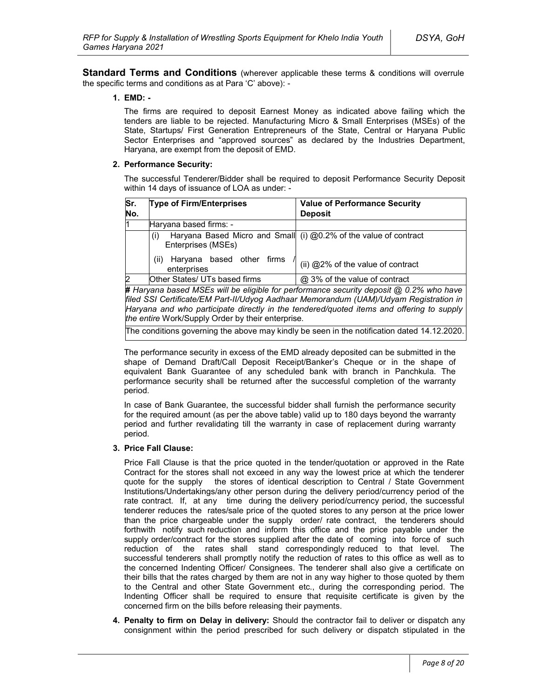**Standard Terms and Conditions** (wherever applicable these terms & conditions will overrule the specific terms and conditions as at Para 'C' above): -

### **1. EMD: -**

The firms are required to deposit Earnest Money as indicated above failing which the tenders are liable to be rejected. Manufacturing Micro & Small Enterprises (MSEs) of the State, Startups/ First Generation Entrepreneurs of the State, Central or Haryana Public Sector Enterprises and "approved sources" as declared by the Industries Department, Haryana, are exempt from the deposit of EMD.

#### **2. Performance Security:**

The successful Tenderer/Bidder shall be required to deposit Performance Security Deposit within 14 days of issuance of LOA as under: -

| Sr.<br>No. | <b>Type of Firm/Enterprises</b>                  | <b>Value of Performance Security</b><br><b>Deposit</b>           |
|------------|--------------------------------------------------|------------------------------------------------------------------|
|            | Haryana based firms: -                           |                                                                  |
|            | (i)<br>Enterprises (MSEs)                        | Haryana Based Micro and Small (i) @0.2% of the value of contract |
|            | Haryana based other firms<br>(ii)<br>enterprises | (ii) @2% of the value of contract                                |
|            | Other States/ UTs based firms                    | @ 3% of the value of contract                                    |

**#** *Haryana based MSEs will be eligible for performance security deposit @ 0.2% who have filed SSI Certificate/EM Part-II/Udyog Aadhaar Memorandum (UAM)/Udyam Registration in Haryana and who participate directly in the tendered/quoted items and offering to supply the entire* Work/Supply Order by their enterprise*.*

The conditions governing the above may kindly be seen in the notification dated 14.12.2020.

The performance security in excess of the EMD already deposited can be submitted in the shape of Demand Draft/Call Deposit Receipt/Banker's Cheque or in the shape of equivalent Bank Guarantee of any scheduled bank with branch in Panchkula. The performance security shall be returned after the successful completion of the warranty period.

In case of Bank Guarantee, the successful bidder shall furnish the performance security for the required amount (as per the above table) valid up to 180 days beyond the warranty period and further revalidating till the warranty in case of replacement during warranty period.

### **3. Price Fall Clause:**

Price Fall Clause is that the price quoted in the tender/quotation or approved in the Rate Contract for the stores shall not exceed in any way the lowest price at which the tenderer quote for the supply the stores of identical description to Central / State Government Institutions/Undertakings/any other person during the delivery period/currency period of the rate contract. If, at any time during the delivery period/currency period, the successful tenderer reduces the rates/sale price of the quoted stores to any person at the price lower than the price chargeable under the supply order/ rate contract, the tenderers should forthwith notify such reduction and inform this office and the price payable under the supply order/contract for the stores supplied after the date of coming into force of such reduction of the rates shall stand correspondingly reduced to that level. The successful tenderers shall promptly notify the reduction of rates to this office as well as to the concerned Indenting Officer/ Consignees. The tenderer shall also give a certificate on their bills that the rates charged by them are not in any way higher to those quoted by them to the Central and other State Government etc., during the corresponding period. The Indenting Officer shall be required to ensure that requisite certificate is given by the concerned firm on the bills before releasing their payments.

**4. Penalty to firm on Delay in delivery:** Should the contractor fail to deliver or dispatch any consignment within the period prescribed for such delivery or dispatch stipulated in the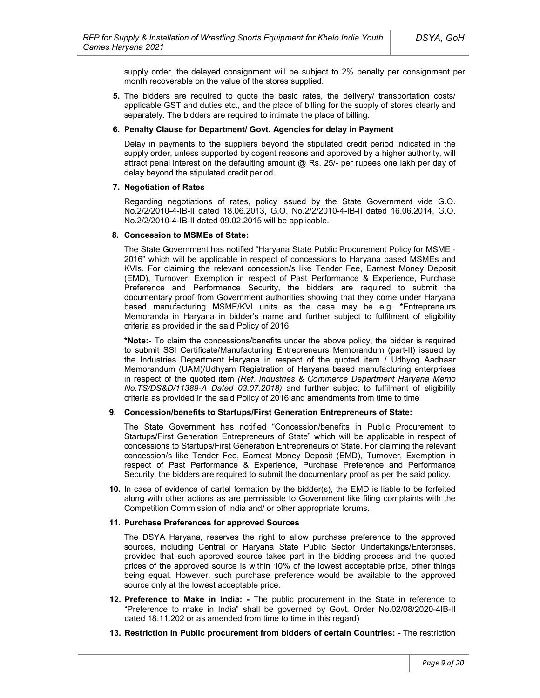supply order, the delayed consignment will be subject to 2% penalty per consignment per month recoverable on the value of the stores supplied.

**5.** The bidders are required to quote the basic rates, the delivery/ transportation costs/ applicable GST and duties etc., and the place of billing for the supply of stores clearly and separately. The bidders are required to intimate the place of billing.

#### **6. Penalty Clause for Department/ Govt. Agencies for delay in Payment**

Delay in payments to the suppliers beyond the stipulated credit period indicated in the supply order, unless supported by cogent reasons and approved by a higher authority, will attract penal interest on the defaulting amount  $@$  Rs. 25/- per rupees one lakh per day of delay beyond the stipulated credit period.

#### **7. Negotiation of Rates**

Regarding negotiations of rates, policy issued by the State Government vide G.O. No.2/2/2010-4-IB-II dated 18.06.2013, G.O. No.2/2/2010-4-IB-II dated 16.06.2014, G.O. No.2/2/2010-4-IB-II dated 09.02.2015 will be applicable.

#### **8. Concession to MSMEs of State:**

The State Government has notified "Haryana State Public Procurement Policy for MSME - 2016" which will be applicable in respect of concessions to Haryana based MSMEs and KVIs. For claiming the relevant concession/s like Tender Fee, Earnest Money Deposit (EMD), Turnover, Exemption in respect of Past Performance & Experience, Purchase Preference and Performance Security, the bidders are required to submit the documentary proof from Government authorities showing that they come under Haryana based manufacturing MSME/KVI units as the case may be e.g. **\***Entrepreneurs Memoranda in Haryana in bidder's name and further subject to fulfilment of eligibility criteria as provided in the said Policy of 2016.

**\*Note:-** To claim the concessions/benefits under the above policy, the bidder is required to submit SSI Certificate/Manufacturing Entrepreneurs Memorandum (part-II) issued by the Industries Department Haryana in respect of the quoted item / Udhyog Aadhaar Memorandum (UAM)/Udhyam Registration of Haryana based manufacturing enterprises in respect of the quoted item *(Ref. Industries & Commerce Department Haryana Memo No.TS/DS&D/11389-A Dated 03.07.2018)* and further subject to fulfilment of eligibility criteria as provided in the said Policy of 2016 and amendments from time to time

### **9. Concession/benefits to Startups/First Generation Entrepreneurs of State:**

The State Government has notified "Concession/benefits in Public Procurement to Startups/First Generation Entrepreneurs of State" which will be applicable in respect of concessions to Startups/First Generation Entrepreneurs of State. For claiming the relevant concession/s like Tender Fee, Earnest Money Deposit (EMD), Turnover, Exemption in respect of Past Performance & Experience, Purchase Preference and Performance Security, the bidders are required to submit the documentary proof as per the said policy.

**10.** In case of evidence of cartel formation by the bidder(s), the EMD is liable to be forfeited along with other actions as are permissible to Government like filing complaints with the Competition Commission of India and/ or other appropriate forums.

### **11. Purchase Preferences for approved Sources**

The DSYA Haryana, reserves the right to allow purchase preference to the approved sources, including Central or Haryana State Public Sector Undertakings/Enterprises, provided that such approved source takes part in the bidding process and the quoted prices of the approved source is within 10% of the lowest acceptable price, other things being equal. However, such purchase preference would be available to the approved source only at the lowest acceptable price.

- **12. Preference to Make in India: -** The public procurement in the State in reference to "Preference to make in India" shall be governed by Govt. Order No.02/08/2020-4IB-II dated 18.11.202 or as amended from time to time in this regard)
- **13. Restriction in Public procurement from bidders of certain Countries: -** The restriction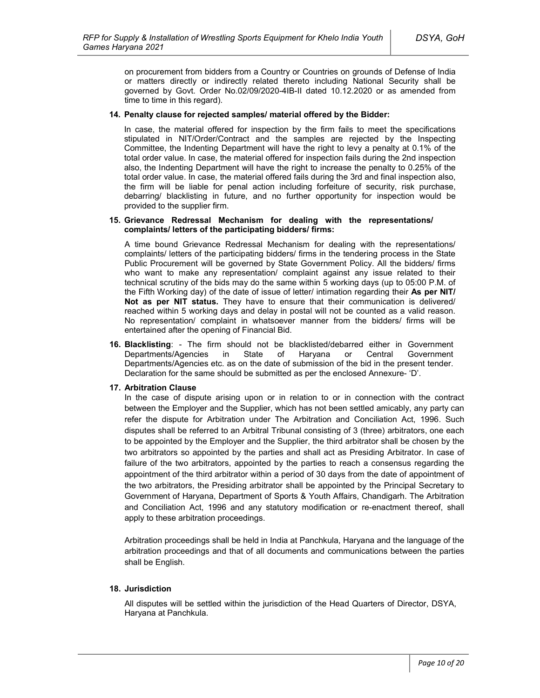on procurement from bidders from a Country or Countries on grounds of Defense of India or matters directly or indirectly related thereto including National Security shall be governed by Govt. Order No.02/09/2020-4IB-II dated 10.12.2020 or as amended from time to time in this regard).

#### **14. Penalty clause for rejected samples/ material offered by the Bidder:**

In case, the material offered for inspection by the firm fails to meet the specifications stipulated in NIT/Order/Contract and the samples are rejected by the Inspecting Committee, the Indenting Department will have the right to levy a penalty at 0.1% of the total order value. In case, the material offered for inspection fails during the 2nd inspection also, the Indenting Department will have the right to increase the penalty to 0.25% of the total order value. In case, the material offered fails during the 3rd and final inspection also, the firm will be liable for penal action including forfeiture of security, risk purchase, debarring/ blacklisting in future, and no further opportunity for inspection would be provided to the supplier firm.

#### **15. Grievance Redressal Mechanism for dealing with the representations/ complaints/ letters of the participating bidders/ firms:**

A time bound Grievance Redressal Mechanism for dealing with the representations/ complaints/ letters of the participating bidders/ firms in the tendering process in the State Public Procurement will be governed by State Government Policy. All the bidders/ firms who want to make any representation/ complaint against any issue related to their technical scrutiny of the bids may do the same within 5 working days (up to 05:00 P.M. of the Fifth Working day) of the date of issue of letter/ intimation regarding their **As per NIT/ Not as per NIT status.** They have to ensure that their communication is delivered/ reached within 5 working days and delay in postal will not be counted as a valid reason. No representation/ complaint in whatsoever manner from the bidders/ firms will be entertained after the opening of Financial Bid.

**16. Blacklisting**: - The firm should not be blacklisted/debarred either in Government Departments/Agencies in State of Haryana or Central Government Departments/Agencies etc. as on the date of submission of the bid in the present tender. Declaration for the same should be submitted as per the enclosed Annexure- 'D'.

### **17. Arbitration Clause**

In the case of dispute arising upon or in relation to or in connection with the contract between the Employer and the Supplier, which has not been settled amicably, any party can refer the dispute for Arbitration under The Arbitration and Conciliation Act, 1996. Such disputes shall be referred to an Arbitral Tribunal consisting of 3 (three) arbitrators, one each to be appointed by the Employer and the Supplier, the third arbitrator shall be chosen by the two arbitrators so appointed by the parties and shall act as Presiding Arbitrator. In case of failure of the two arbitrators, appointed by the parties to reach a consensus regarding the appointment of the third arbitrator within a period of 30 days from the date of appointment of the two arbitrators, the Presiding arbitrator shall be appointed by the Principal Secretary to Government of Haryana, Department of Sports & Youth Affairs, Chandigarh. The Arbitration and Conciliation Act, 1996 and any statutory modification or re-enactment thereof, shall apply to these arbitration proceedings.

Arbitration proceedings shall be held in India at Panchkula, Haryana and the language of the arbitration proceedings and that of all documents and communications between the parties shall be English.

### **18. Jurisdiction**

All disputes will be settled within the jurisdiction of the Head Quarters of Director, DSYA, Haryana at Panchkula.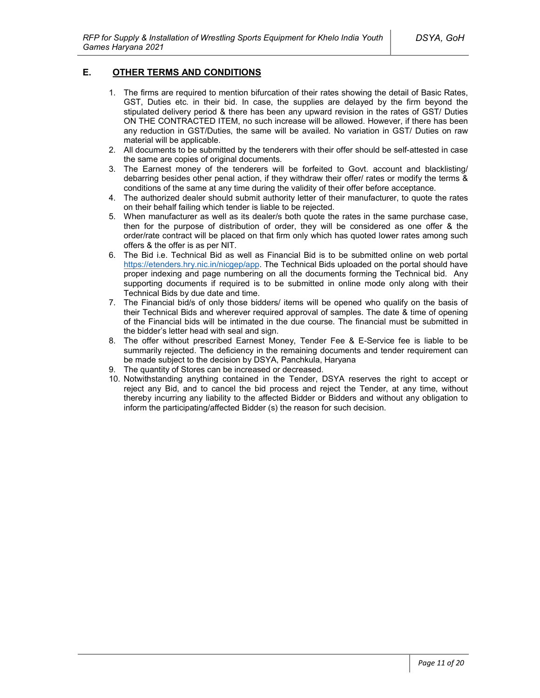# **E. OTHER TERMS AND CONDITIONS**

- 1. The firms are required to mention bifurcation of their rates showing the detail of Basic Rates, GST, Duties etc. in their bid. In case, the supplies are delayed by the firm beyond the stipulated delivery period & there has been any upward revision in the rates of GST/ Duties ON THE CONTRACTED ITEM, no such increase will be allowed. However, if there has been any reduction in GST/Duties, the same will be availed. No variation in GST/ Duties on raw material will be applicable.
- 2. All documents to be submitted by the tenderers with their offer should be self-attested in case the same are copies of original documents.
- 3. The Earnest money of the tenderers will be forfeited to Govt. account and blacklisting/ debarring besides other penal action, if they withdraw their offer/ rates or modify the terms & conditions of the same at any time during the validity of their offer before acceptance.
- 4. The authorized dealer should submit authority letter of their manufacturer, to quote the rates on their behalf failing which tender is liable to be rejected.
- 5. When manufacturer as well as its dealer/s both quote the rates in the same purchase case, then for the purpose of distribution of order, they will be considered as one offer & the order/rate contract will be placed on that firm only which has quoted lower rates among such offers & the offer is as per NIT.
- 6. The Bid i.e. Technical Bid as well as Financial Bid is to be submitted online on web portal https://etenders.hry.nic.in/nicgep/app. The Technical Bids uploaded on the portal should have proper indexing and page numbering on all the documents forming the Technical bid. Any supporting documents if required is to be submitted in online mode only along with their Technical Bids by due date and time.
- 7. The Financial bid/s of only those bidders/ items will be opened who qualify on the basis of their Technical Bids and wherever required approval of samples. The date & time of opening of the Financial bids will be intimated in the due course. The financial must be submitted in the bidder's letter head with seal and sign.
- 8. The offer without prescribed Earnest Money, Tender Fee & E-Service fee is liable to be summarily rejected. The deficiency in the remaining documents and tender requirement can be made subject to the decision by DSYA, Panchkula, Haryana
- 9. The quantity of Stores can be increased or decreased.
- 10. Notwithstanding anything contained in the Tender, DSYA reserves the right to accept or reject any Bid, and to cancel the bid process and reject the Tender, at any time, without thereby incurring any liability to the affected Bidder or Bidders and without any obligation to inform the participating/affected Bidder (s) the reason for such decision.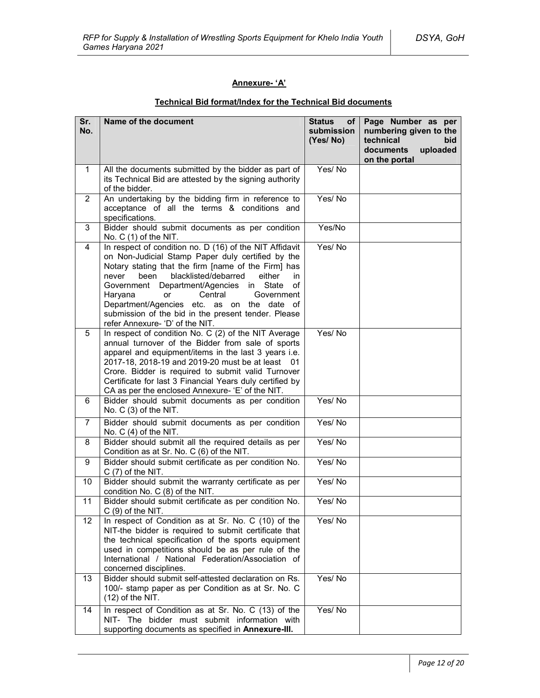# **Annexure- 'A'**

| Sr.<br>No.              | Name of the document                                                                                                                                                                                                                                                                                                                                                                                                                                                   | <b>Status</b><br>of l<br>submission<br>(Yes/No) | Page Number as per<br>numbering given to the<br>technical<br>bid<br>documents<br>uploaded<br>on the portal |
|-------------------------|------------------------------------------------------------------------------------------------------------------------------------------------------------------------------------------------------------------------------------------------------------------------------------------------------------------------------------------------------------------------------------------------------------------------------------------------------------------------|-------------------------------------------------|------------------------------------------------------------------------------------------------------------|
| $\mathbf{1}$            | All the documents submitted by the bidder as part of<br>its Technical Bid are attested by the signing authority<br>of the bidder.                                                                                                                                                                                                                                                                                                                                      | Yes/No                                          |                                                                                                            |
| $\overline{2}$          | An undertaking by the bidding firm in reference to<br>acceptance of all the terms & conditions and<br>specifications.                                                                                                                                                                                                                                                                                                                                                  | Yes/No                                          |                                                                                                            |
| 3                       | Bidder should submit documents as per condition<br>No. $C(1)$ of the NIT.                                                                                                                                                                                                                                                                                                                                                                                              | Yes/No                                          |                                                                                                            |
| 4                       | In respect of condition no. D (16) of the NIT Affidavit<br>on Non-Judicial Stamp Paper duly certified by the<br>Notary stating that the firm [name of the Firm] has<br>blacklisted/debarred<br>either<br>never<br>been<br>in.<br>Department/Agencies<br>in State<br>of<br>Government<br>Haryana<br>Central<br>Government<br>or<br>Department/Agencies etc. as on the date of<br>submission of the bid in the present tender. Please<br>refer Annexure- 'D' of the NIT. | Yes/No                                          |                                                                                                            |
| 5                       | In respect of condition No. C (2) of the NIT Average<br>annual turnover of the Bidder from sale of sports<br>apparel and equipment/items in the last 3 years i.e.<br>2017-18, 2018-19 and 2019-20 must be at least<br>- 01<br>Crore. Bidder is required to submit valid Turnover<br>Certificate for last 3 Financial Years duly certified by<br>CA as per the enclosed Annexure- 'E' of the NIT.                                                                       | Yes/No                                          |                                                                                                            |
| 6                       | Bidder should submit documents as per condition<br>No. $C(3)$ of the NIT.                                                                                                                                                                                                                                                                                                                                                                                              | Yes/No                                          |                                                                                                            |
| 7                       | Bidder should submit documents as per condition<br>No. $C(4)$ of the NIT.                                                                                                                                                                                                                                                                                                                                                                                              | Yes/No                                          |                                                                                                            |
| 8                       | Bidder should submit all the required details as per<br>Condition as at Sr. No. C (6) of the NIT.                                                                                                                                                                                                                                                                                                                                                                      | Yes/No                                          |                                                                                                            |
| 9                       | Bidder should submit certificate as per condition No.<br>$C(7)$ of the NIT.                                                                                                                                                                                                                                                                                                                                                                                            | Yes/No                                          |                                                                                                            |
| 10                      | Bidder should submit the warranty certificate as per<br>condition No. C (8) of the NIT.                                                                                                                                                                                                                                                                                                                                                                                | Yes/No                                          |                                                                                                            |
| 11                      | Bidder should submit certificate as per condition No.<br>$C(9)$ of the NIT.                                                                                                                                                                                                                                                                                                                                                                                            | Yes/No                                          |                                                                                                            |
| $12 \overline{ }$<br>13 | In respect of Condition as at Sr. No. C (10) of the<br>NIT-the bidder is required to submit certificate that<br>the technical specification of the sports equipment<br>used in competitions should be as per rule of the<br>International / National Federation/Association of<br>concerned disciplines.<br>Bidder should submit self-attested declaration on Rs.                                                                                                      | Yes/No<br>Yes/No                                |                                                                                                            |
|                         | 100/- stamp paper as per Condition as at Sr. No. C<br>(12) of the NIT.                                                                                                                                                                                                                                                                                                                                                                                                 |                                                 |                                                                                                            |
| 14                      | In respect of Condition as at Sr. No. C (13) of the<br>NIT- The bidder must submit information with<br>supporting documents as specified in Annexure-III.                                                                                                                                                                                                                                                                                                              | Yes/No                                          |                                                                                                            |

# **Technical Bid format/Index for the Technical Bid documents**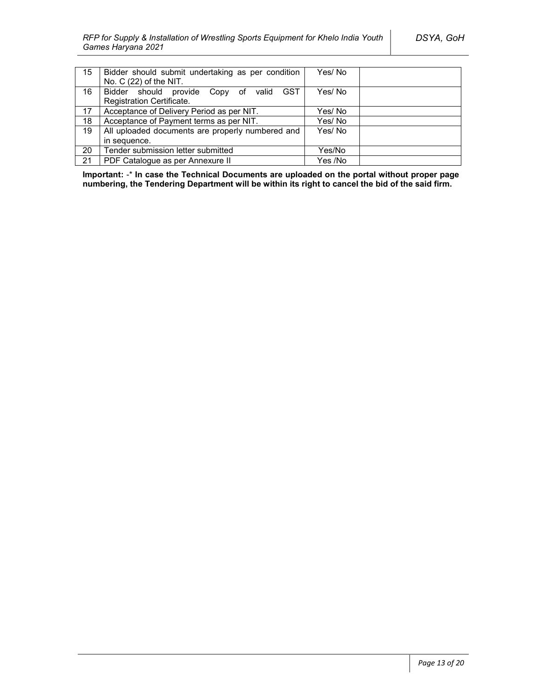| 15 | Bidder should submit undertaking as per condition<br>No. $C(22)$ of the NIT.   | Yes/No  |  |
|----|--------------------------------------------------------------------------------|---------|--|
| 16 | Bidder should provide Copy of valid<br><b>GST</b><br>Registration Certificate. | Yes/ No |  |
| 17 | Acceptance of Delivery Period as per NIT.                                      | Yes/No  |  |
| 18 | Acceptance of Payment terms as per NIT.                                        | Yes/No  |  |
| 19 | All uploaded documents are properly numbered and                               | Yes/No  |  |
|    | in sequence.                                                                   |         |  |
| 20 | Tender submission letter submitted                                             | Yes/No  |  |
| 21 | PDF Catalogue as per Annexure II                                               | Yes /No |  |

**Important:** -\* **In case the Technical Documents are uploaded on the portal without proper page numbering, the Tendering Department will be within its right to cancel the bid of the said firm.**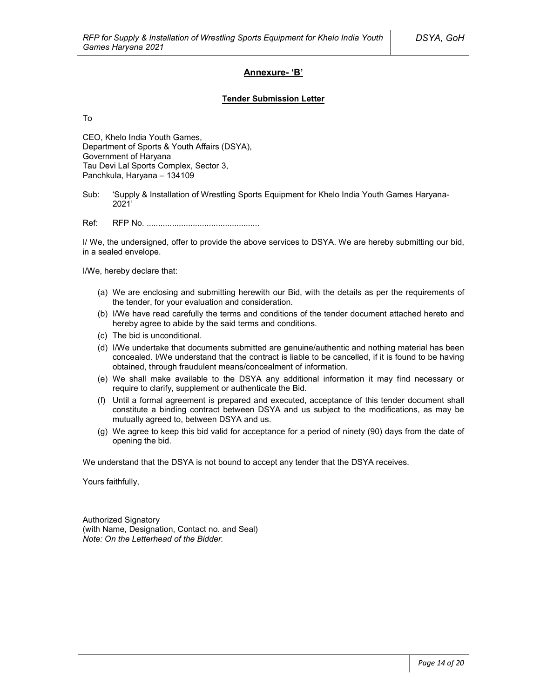### **Annexure- 'B'**

### **Tender Submission Letter**

To

CEO, Khelo India Youth Games, Department of Sports & Youth Affairs (DSYA), Government of Haryana Tau Devi Lal Sports Complex, Sector 3, Panchkula, Haryana – 134109

Sub: 'Supply & Installation of Wrestling Sports Equipment for Khelo India Youth Games Haryana-2021'

Ref: RFP No. .................................................

I/ We, the undersigned, offer to provide the above services to DSYA. We are hereby submitting our bid, in a sealed envelope.

I/We, hereby declare that:

- (a) We are enclosing and submitting herewith our Bid, with the details as per the requirements of the tender, for your evaluation and consideration.
- (b) I/We have read carefully the terms and conditions of the tender document attached hereto and hereby agree to abide by the said terms and conditions.
- (c) The bid is unconditional.
- (d) I/We undertake that documents submitted are genuine/authentic and nothing material has been concealed. I/We understand that the contract is liable to be cancelled, if it is found to be having obtained, through fraudulent means/concealment of information.
- (e) We shall make available to the DSYA any additional information it may find necessary or require to clarify, supplement or authenticate the Bid.
- (f) Until a formal agreement is prepared and executed, acceptance of this tender document shall constitute a binding contract between DSYA and us subject to the modifications, as may be mutually agreed to, between DSYA and us.
- (g) We agree to keep this bid valid for acceptance for a period of ninety (90) days from the date of opening the bid.

We understand that the DSYA is not bound to accept any tender that the DSYA receives.

Yours faithfully,

Authorized Signatory (with Name, Designation, Contact no. and Seal) *Note: On the Letterhead of the Bidder.*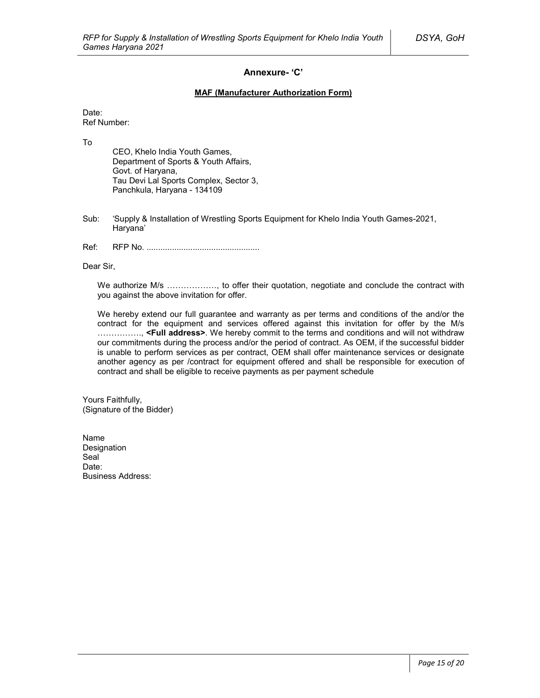### **Annexure- 'C'**

### **MAF (Manufacturer Authorization Form)**

Date: Ref Number:

To

CEO, Khelo India Youth Games, Department of Sports & Youth Affairs, Govt. of Haryana, Tau Devi Lal Sports Complex, Sector 3, Panchkula, Haryana - 134109

- Sub: 'Supply & Installation of Wrestling Sports Equipment for Khelo India Youth Games-2021, Haryana'
- Ref: RFP No. .................................................

Dear Sir,

We authorize M/s ................., to offer their quotation, negotiate and conclude the contract with you against the above invitation for offer.

We hereby extend our full guarantee and warranty as per terms and conditions of the and/or the contract for the equipment and services offered against this invitation for offer by the M/s ……………., **<Full address>**. We hereby commit to the terms and conditions and will not withdraw our commitments during the process and/or the period of contract. As OEM, if the successful bidder is unable to perform services as per contract, OEM shall offer maintenance services or designate another agency as per /contract for equipment offered and shall be responsible for execution of contract and shall be eligible to receive payments as per payment schedule

Yours Faithfully, (Signature of the Bidder)

Name Designation Seal<sup>1</sup> Date: Business Address: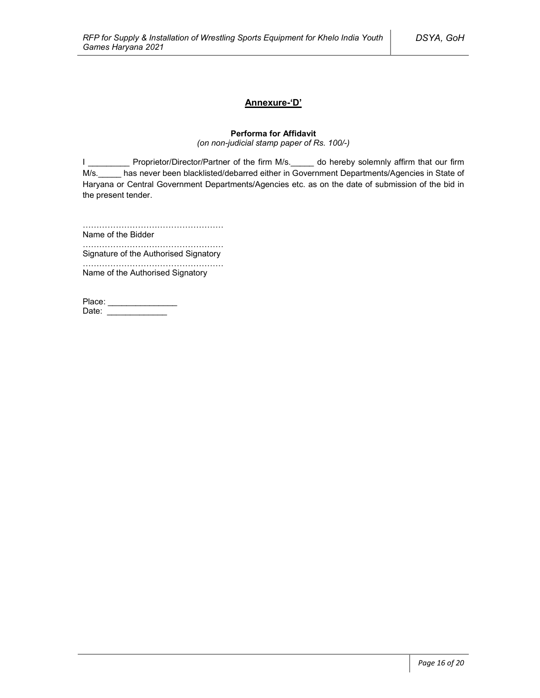# **Annexure-'D'**

### **Performa for Affidavit**

*(on non-judicial stamp paper of Rs. 100/-)*

I \_\_\_\_\_\_\_\_\_\_\_ Proprietor/Director/Partner of the firm M/s.\_\_\_\_\_ do hereby solemnly affirm that our firm M/s. has never been blacklisted/debarred either in Government Departments/Agencies in State of Haryana or Central Government Departments/Agencies etc. as on the date of submission of the bid in the present tender.

……………………………………………

Name of the Bidder ……………………………………………

Signature of the Authorised Signatory

…………………………………………… Name of the Authorised Signatory

| Place: |  |
|--------|--|
| Date:  |  |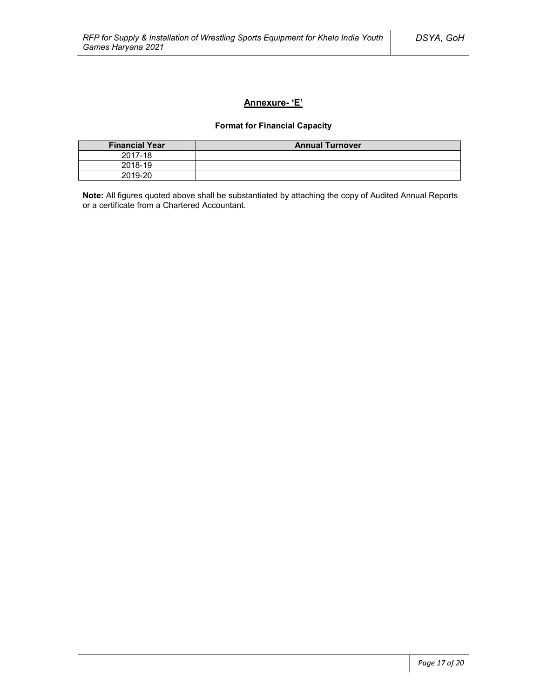# **Annexure- 'E'**

# **Format for Financial Capacity**

| <b>Financial Year</b> | <b>Annual Turnover</b> |
|-----------------------|------------------------|
| 2017-18               |                        |
| 2018-19               |                        |
| 2019-20               |                        |

**Note:** All figures quoted above shall be substantiated by attaching the copy of Audited Annual Reports or a certificate from a Chartered Accountant.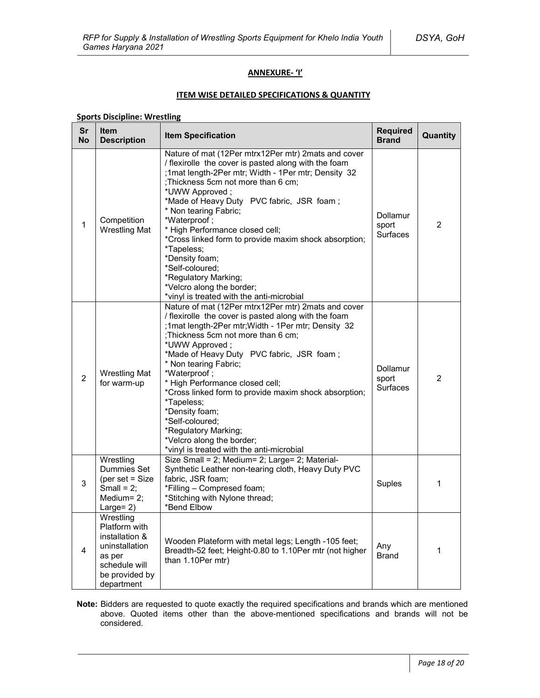### **ANNEXURE- 'I'**

### **ITEM WISE DETAILED SPECIFICATIONS & QUANTITY**

# **Sports Discipline: Wrestling**

| Sr<br><b>No</b> | <b>Item</b><br><b>Description</b>                                                                                         | <b>Item Specification</b>                                                                                                                                                                                                                                                                                                                                                                                                                                                                                                                                          | <b>Required</b><br><b>Brand</b>      | Quantity |
|-----------------|---------------------------------------------------------------------------------------------------------------------------|--------------------------------------------------------------------------------------------------------------------------------------------------------------------------------------------------------------------------------------------------------------------------------------------------------------------------------------------------------------------------------------------------------------------------------------------------------------------------------------------------------------------------------------------------------------------|--------------------------------------|----------|
| 1               | Competition<br><b>Wrestling Mat</b>                                                                                       | Nature of mat (12Per mtrx12Per mtr) 2mats and cover<br>/ flexirolle the cover is pasted along with the foam<br>;1mat length-2Per mtr; Width - 1Per mtr; Density 32<br>; Thickness 5cm not more than 6 cm;<br>*UWW Approved;<br>*Made of Heavy Duty PVC fabric, JSR foam;<br>* Non tearing Fabric;<br>*Waterproof;<br>* High Performance closed cell;<br>*Cross linked form to provide maxim shock absorption;<br>*Tapeless;<br>*Density foam;<br>*Self-coloured;<br>*Regulatory Marking;<br>*Velcro along the border;<br>*vinyl is treated with the anti-microbial | Dollamur<br>sport<br><b>Surfaces</b> | 2        |
| 2               | <b>Wrestling Mat</b><br>for warm-up                                                                                       | Nature of mat (12Per mtrx12Per mtr) 2mats and cover<br>/ flexirolle the cover is pasted along with the foam<br>;1mat length-2Per mtr; Width - 1Per mtr; Density 32<br>; Thickness 5cm not more than 6 cm;<br>*UWW Approved;<br>*Made of Heavy Duty PVC fabric, JSR foam;<br>* Non tearing Fabric;<br>*Waterproof;<br>* High Performance closed cell;<br>*Cross linked form to provide maxim shock absorption;<br>*Tapeless;<br>*Density foam;<br>*Self-coloured;<br>*Regulatory Marking;<br>*Velcro along the border;<br>*vinyl is treated with the anti-microbial | Dollamur<br>sport<br><b>Surfaces</b> | 2        |
| 3               | Wrestling<br>Dummies Set<br>(per set $=$ Size<br>Small = $2$ ;<br>Medium= 2;<br>Large= $2)$                               | Size Small = 2; Medium= 2; Large= 2; Material-<br>Synthetic Leather non-tearing cloth, Heavy Duty PVC<br>fabric, JSR foam;<br>*Filling - Compresed foam;<br>*Stitching with Nylone thread;<br>*Bend Elbow                                                                                                                                                                                                                                                                                                                                                          | Suples                               | 1        |
| $\overline{4}$  | Wrestling<br>Platform with<br>installation &<br>uninstallation<br>as per<br>schedule will<br>be provided by<br>department | Wooden Plateform with metal legs; Length -105 feet;<br>Breadth-52 feet; Height-0.80 to 1.10Per mtr (not higher<br>than 1.10Per mtr)                                                                                                                                                                                                                                                                                                                                                                                                                                | Any<br>Brand                         | 1        |

**Note:** Bidders are requested to quote exactly the required specifications and brands which are mentioned above. Quoted items other than the above-mentioned specifications and brands will not be considered.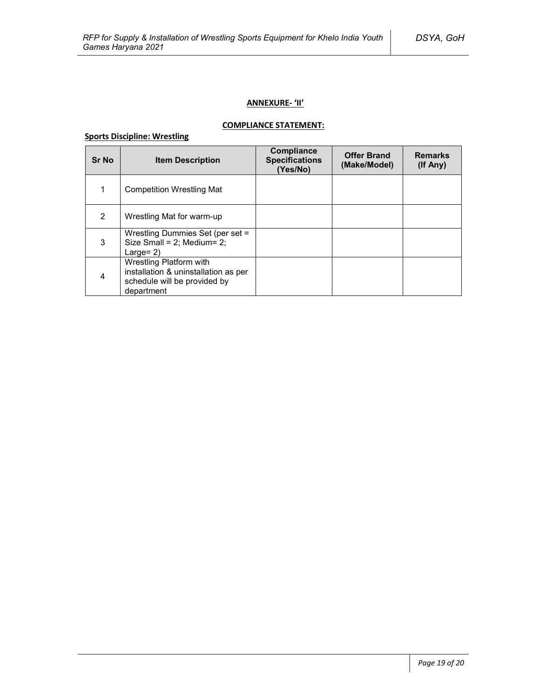# **ANNEXURE- 'II'**

# **COMPLIANCE STATEMENT:**

# **Sports Discipline: Wrestling**

| <b>Sr No</b> | <b>Item Description</b>                                                                                       | Compliance<br><b>Specifications</b><br>(Yes/No) | <b>Offer Brand</b><br>(Make/Model) | <b>Remarks</b><br>(If Any) |
|--------------|---------------------------------------------------------------------------------------------------------------|-------------------------------------------------|------------------------------------|----------------------------|
| 1            | <b>Competition Wrestling Mat</b>                                                                              |                                                 |                                    |                            |
| 2            | Wrestling Mat for warm-up                                                                                     |                                                 |                                    |                            |
| 3            | Wrestling Dummies Set (per set =<br>Size Small = $2$ ; Medium= $2$ ;<br>Large= $2$ )                          |                                                 |                                    |                            |
| 4            | Wrestling Platform with<br>installation & uninstallation as per<br>schedule will be provided by<br>department |                                                 |                                    |                            |